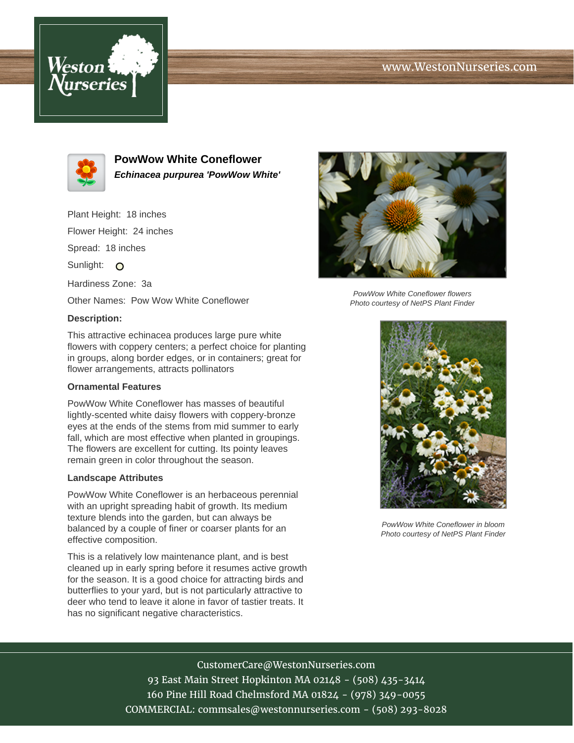## www.WestonNurseries.com





**PowWow White Coneflower Echinacea purpurea 'PowWow White'**

Plant Height: 18 inches

Flower Height: 24 inches

Spread: 18 inches

Sunlight: O

Hardiness Zone: 3a

Other Names: Pow Wow White Coneflower

#### **Description:**

This attractive echinacea produces large pure white flowers with coppery centers; a perfect choice for planting in groups, along border edges, or in containers; great for flower arrangements, attracts pollinators

## **Ornamental Features**

PowWow White Coneflower has masses of beautiful lightly-scented white daisy flowers with coppery-bronze eyes at the ends of the stems from mid summer to early fall, which are most effective when planted in groupings. The flowers are excellent for cutting. Its pointy leaves remain green in color throughout the season.

#### **Landscape Attributes**

PowWow White Coneflower is an herbaceous perennial with an upright spreading habit of growth. Its medium texture blends into the garden, but can always be balanced by a couple of finer or coarser plants for an effective composition.

This is a relatively low maintenance plant, and is best cleaned up in early spring before it resumes active growth for the season. It is a good choice for attracting birds and butterflies to your yard, but is not particularly attractive to deer who tend to leave it alone in favor of tastier treats. It has no significant negative characteristics.



PowWow White Coneflower flowers Photo courtesy of NetPS Plant Finder



PowWow White Coneflower in bloom Photo courtesy of NetPS Plant Finder

# CustomerCare@WestonNurseries.com

93 East Main Street Hopkinton MA 02148 - (508) 435-3414 160 Pine Hill Road Chelmsford MA 01824 - (978) 349-0055 COMMERCIAL: commsales@westonnurseries.com - (508) 293-8028